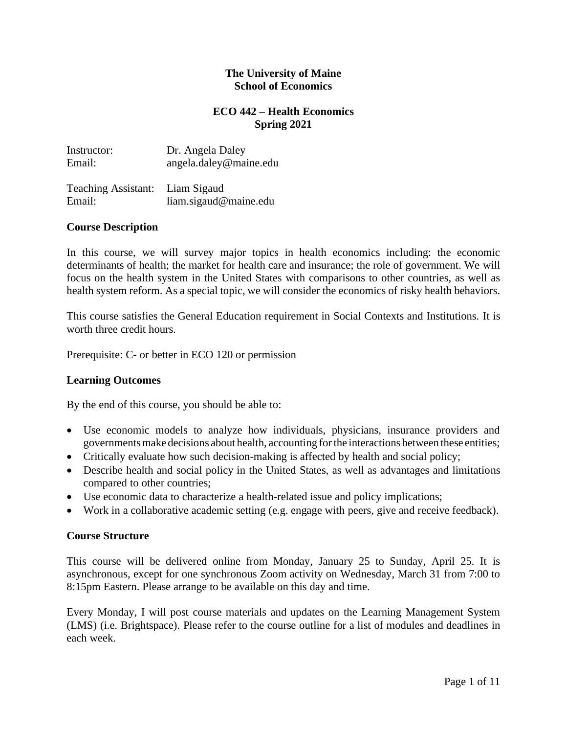### **The University of Maine School of Economics**

## **ECO 442 – Health Economics Spring 2021**

| Instructor: | Dr. Angela Daley         |
|-------------|--------------------------|
| Email:      | $angle.$ daley@maine.edu |
|             |                          |

| Teaching Assistant: Liam Sigaud |                       |
|---------------------------------|-----------------------|
| Email:                          | liam.sigaud@maine.edu |

### **Course Description**

In this course, we will survey major topics in health economics including: the economic determinants of health; the market for health care and insurance; the role of government. We will focus on the health system in the United States with comparisons to other countries, as well as health system reform. As a special topic, we will consider the economics of risky health behaviors.

This course satisfies the General Education requirement in Social Contexts and Institutions. It is worth three credit hours.

Prerequisite: C- or better in ECO 120 or permission

### **Learning Outcomes**

By the end of this course, you should be able to:

- Use economic models to analyze how individuals, physicians, insurance providers and governmentsmake decisions about health, accounting forthe interactions between these entities;
- Critically evaluate how such decision-making is affected by health and social policy;
- Describe health and social policy in the United States, as well as advantages and limitations compared to other countries;
- Use economic data to characterize a health-related issue and policy implications;
- Work in a collaborative academic setting (e.g. engage with peers, give and receive feedback).

### **Course Structure**

This course will be delivered online from Monday, January 25 to Sunday, April 25. It is asynchronous, except for one synchronous Zoom activity on Wednesday, March 31 from 7:00 to 8:15pm Eastern. Please arrange to be available on this day and time.

Every Monday, I will post course materials and updates on the Learning Management System (LMS) (i.e. Brightspace). Please refer to the course outline for a list of modules and deadlines in each week.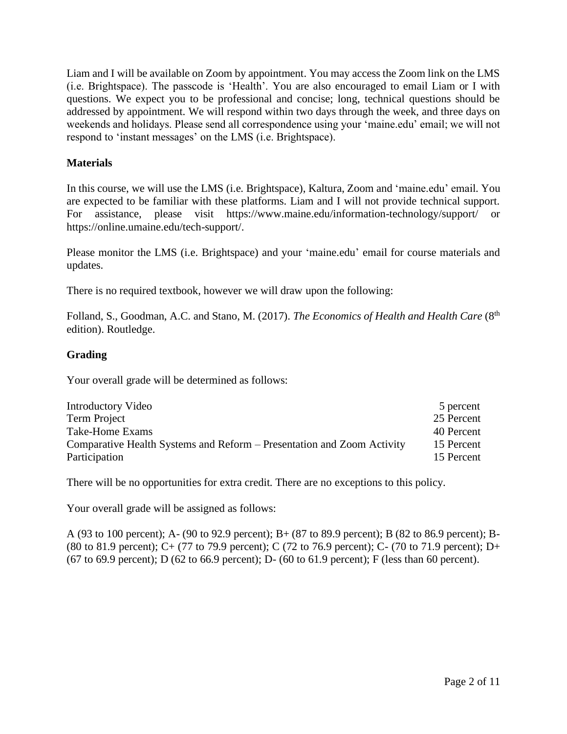Liam and I will be available on Zoom by appointment. You may access the Zoom link on the LMS (i.e. Brightspace). The passcode is 'Health'. You are also encouraged to email Liam or I with questions. We expect you to be professional and concise; long, technical questions should be addressed by appointment. We will respond within two days through the week, and three days on weekends and holidays. Please send all correspondence using your 'maine.edu' email; we will not respond to 'instant messages' on the LMS (i.e. Brightspace).

# **Materials**

In this course, we will use the LMS (i.e. Brightspace), Kaltura, Zoom and 'maine.edu' email. You are expected to be familiar with these platforms. Liam and I will not provide technical support. For assistance, please visit https://www.maine.edu/information-technology/support/ or https://online.umaine.edu/tech-support/.

Please monitor the LMS (i.e. Brightspace) and your 'maine.edu' email for course materials and updates.

There is no required textbook, however we will draw upon the following:

Folland, S., Goodman, A.C. and Stano, M. (2017). *The Economics of Health and Health Care* (8<sup>th</sup>) edition). Routledge.

### **Grading**

Your overall grade will be determined as follows:

| Introductory Video                                                     | 5 percent  |
|------------------------------------------------------------------------|------------|
| Term Project                                                           | 25 Percent |
| Take-Home Exams                                                        | 40 Percent |
| Comparative Health Systems and Reform – Presentation and Zoom Activity | 15 Percent |
| Participation                                                          | 15 Percent |

There will be no opportunities for extra credit. There are no exceptions to this policy.

Your overall grade will be assigned as follows:

A (93 to 100 percent); A- (90 to 92.9 percent); B+ (87 to 89.9 percent); B (82 to 86.9 percent); B- (80 to 81.9 percent); C+ (77 to 79.9 percent); C (72 to 76.9 percent); C- (70 to 71.9 percent); D+ (67 to 69.9 percent); D (62 to 66.9 percent); D- (60 to 61.9 percent); F (less than 60 percent).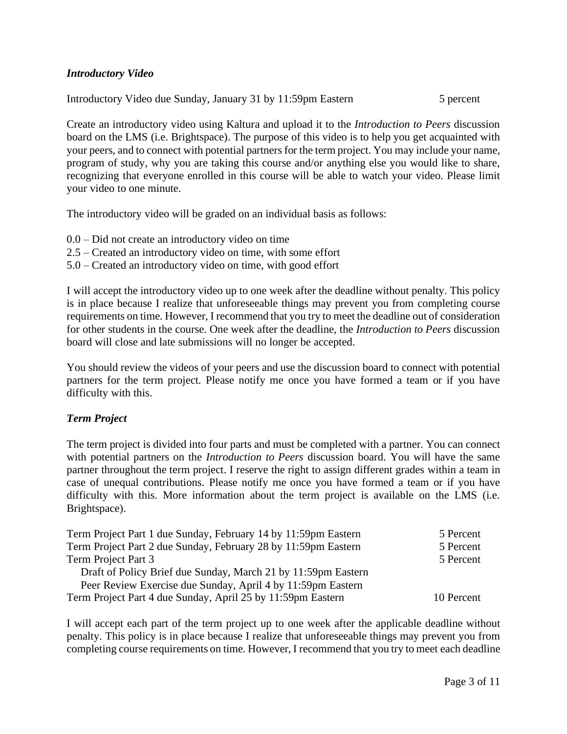# *Introductory Video*

Introductory Video due Sunday, January 31 by 11:59pm Eastern 5 percent

Create an introductory video using Kaltura and upload it to the *Introduction to Peers* discussion board on the LMS (i.e. Brightspace). The purpose of this video is to help you get acquainted with your peers, and to connect with potential partners for the term project. You may include your name, program of study, why you are taking this course and/or anything else you would like to share, recognizing that everyone enrolled in this course will be able to watch your video. Please limit your video to one minute.

The introductory video will be graded on an individual basis as follows:

- 0.0 Did not create an introductory video on time
- 2.5 Created an introductory video on time, with some effort
- 5.0 Created an introductory video on time, with good effort

I will accept the introductory video up to one week after the deadline without penalty. This policy is in place because I realize that unforeseeable things may prevent you from completing course requirements on time. However, I recommend that you try to meet the deadline out of consideration for other students in the course. One week after the deadline, the *Introduction to Peers* discussion board will close and late submissions will no longer be accepted.

You should review the videos of your peers and use the discussion board to connect with potential partners for the term project. Please notify me once you have formed a team or if you have difficulty with this.

### *Term Project*

The term project is divided into four parts and must be completed with a partner. You can connect with potential partners on the *Introduction to Peers* discussion board. You will have the same partner throughout the term project. I reserve the right to assign different grades within a team in case of unequal contributions. Please notify me once you have formed a team or if you have difficulty with this. More information about the term project is available on the LMS (i.e. Brightspace).

| Term Project Part 1 due Sunday, February 14 by 11:59pm Eastern | 5 Percent  |
|----------------------------------------------------------------|------------|
| Term Project Part 2 due Sunday, February 28 by 11:59pm Eastern | 5 Percent  |
| Term Project Part 3                                            | 5 Percent  |
| Draft of Policy Brief due Sunday, March 21 by 11:59pm Eastern  |            |
| Peer Review Exercise due Sunday, April 4 by 11:59pm Eastern    |            |
| Term Project Part 4 due Sunday, April 25 by 11:59pm Eastern    | 10 Percent |

I will accept each part of the term project up to one week after the applicable deadline without penalty. This policy is in place because I realize that unforeseeable things may prevent you from completing course requirements on time. However, I recommend that you try to meet each deadline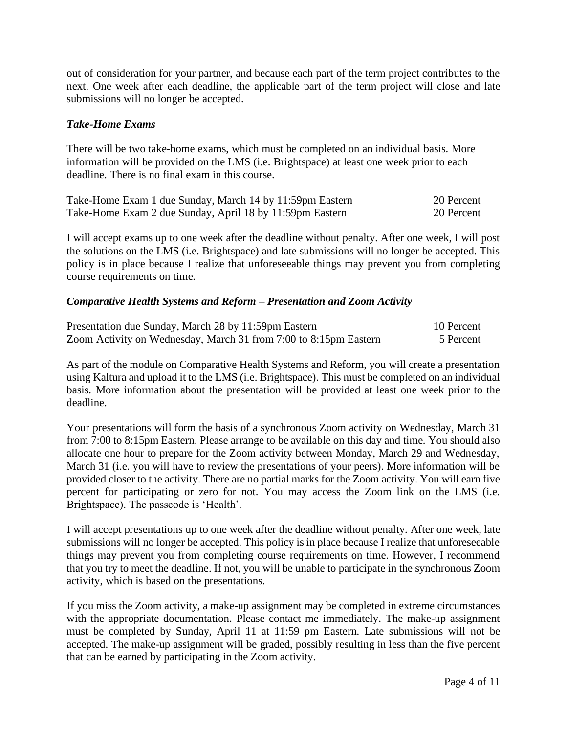out of consideration for your partner, and because each part of the term project contributes to the next. One week after each deadline, the applicable part of the term project will close and late submissions will no longer be accepted.

### *Take-Home Exams*

There will be two take-home exams, which must be completed on an individual basis. More information will be provided on the LMS (i.e. Brightspace) at least one week prior to each deadline. There is no final exam in this course.

| Take-Home Exam 1 due Sunday, March 14 by 11:59pm Eastern | 20 Percent |
|----------------------------------------------------------|------------|
| Take-Home Exam 2 due Sunday, April 18 by 11:59pm Eastern | 20 Percent |

I will accept exams up to one week after the deadline without penalty. After one week, I will post the solutions on the LMS (i.e. Brightspace) and late submissions will no longer be accepted. This policy is in place because I realize that unforeseeable things may prevent you from completing course requirements on time.

# *Comparative Health Systems and Reform – Presentation and Zoom Activity*

| Presentation due Sunday, March 28 by 11:59pm Eastern             | 10 Percent |
|------------------------------------------------------------------|------------|
| Zoom Activity on Wednesday, March 31 from 7:00 to 8:15pm Eastern | 5 Percent  |

As part of the module on Comparative Health Systems and Reform, you will create a presentation using Kaltura and upload it to the LMS (i.e. Brightspace). This must be completed on an individual basis. More information about the presentation will be provided at least one week prior to the deadline.

Your presentations will form the basis of a synchronous Zoom activity on Wednesday, March 31 from 7:00 to 8:15pm Eastern. Please arrange to be available on this day and time. You should also allocate one hour to prepare for the Zoom activity between Monday, March 29 and Wednesday, March 31 (i.e. you will have to review the presentations of your peers). More information will be provided closer to the activity. There are no partial marks for the Zoom activity. You will earn five percent for participating or zero for not. You may access the Zoom link on the LMS (i.e. Brightspace). The passcode is 'Health'.

I will accept presentations up to one week after the deadline without penalty. After one week, late submissions will no longer be accepted. This policy is in place because I realize that unforeseeable things may prevent you from completing course requirements on time. However, I recommend that you try to meet the deadline. If not, you will be unable to participate in the synchronous Zoom activity, which is based on the presentations.

If you miss the Zoom activity, a make-up assignment may be completed in extreme circumstances with the appropriate documentation. Please contact me immediately. The make-up assignment must be completed by Sunday, April 11 at 11:59 pm Eastern. Late submissions will not be accepted. The make-up assignment will be graded, possibly resulting in less than the five percent that can be earned by participating in the Zoom activity.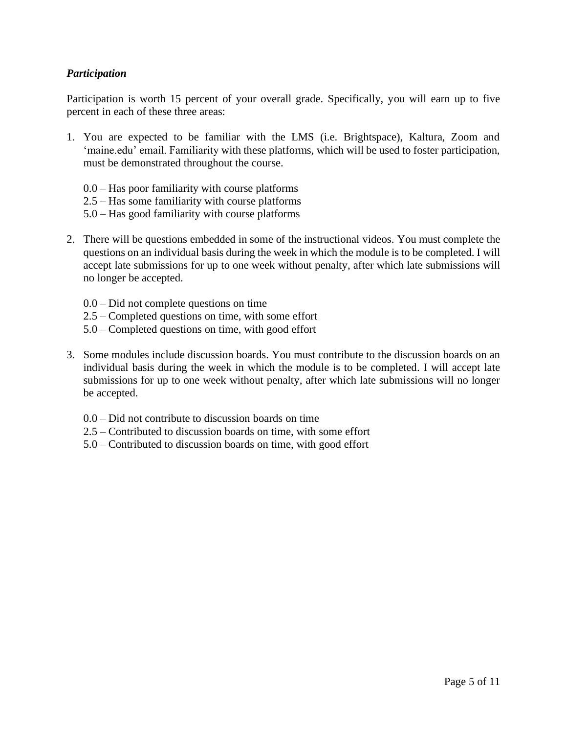# *Participation*

Participation is worth 15 percent of your overall grade. Specifically, you will earn up to five percent in each of these three areas:

- 1. You are expected to be familiar with the LMS (i.e. Brightspace), Kaltura, Zoom and 'maine.edu' email. Familiarity with these platforms, which will be used to foster participation, must be demonstrated throughout the course.
	- 0.0 Has poor familiarity with course platforms
	- 2.5 Has some familiarity with course platforms
	- 5.0 Has good familiarity with course platforms
- 2. There will be questions embedded in some of the instructional videos. You must complete the questions on an individual basis during the week in which the module is to be completed. I will accept late submissions for up to one week without penalty, after which late submissions will no longer be accepted.
	- 0.0 Did not complete questions on time
	- 2.5 Completed questions on time, with some effort
	- 5.0 Completed questions on time, with good effort
- 3. Some modules include discussion boards. You must contribute to the discussion boards on an individual basis during the week in which the module is to be completed. I will accept late submissions for up to one week without penalty, after which late submissions will no longer be accepted.
	- 0.0 Did not contribute to discussion boards on time
	- 2.5 Contributed to discussion boards on time, with some effort
	- 5.0 Contributed to discussion boards on time, with good effort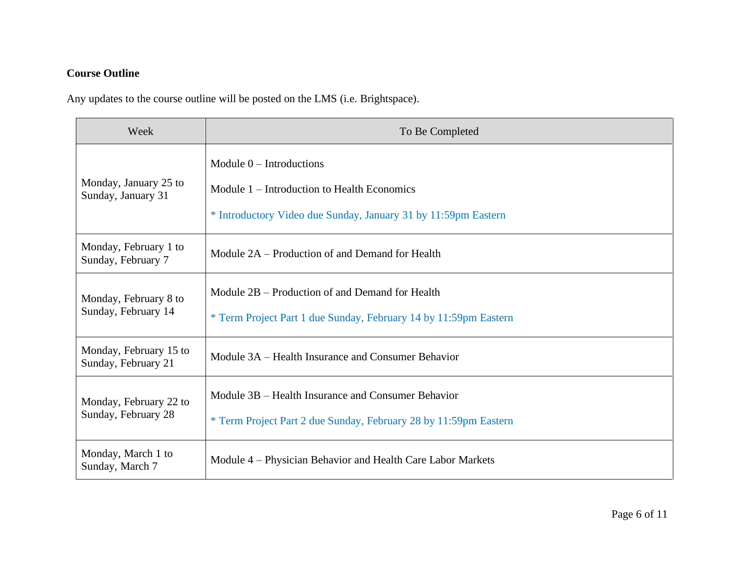# **Course Outline**

Any updates to the course outline will be posted on the LMS (i.e. Brightspace).

| Week                                          | To Be Completed                                                                                                                             |
|-----------------------------------------------|---------------------------------------------------------------------------------------------------------------------------------------------|
| Monday, January 25 to<br>Sunday, January 31   | Module $0$ – Introductions<br>Module 1 – Introduction to Health Economics<br>* Introductory Video due Sunday, January 31 by 11:59pm Eastern |
| Monday, February 1 to<br>Sunday, February 7   | Module 2A – Production of and Demand for Health                                                                                             |
| Monday, February 8 to<br>Sunday, February 14  | Module 2B – Production of and Demand for Health<br>* Term Project Part 1 due Sunday, February 14 by 11:59pm Eastern                         |
| Monday, February 15 to<br>Sunday, February 21 | Module 3A – Health Insurance and Consumer Behavior                                                                                          |
| Monday, February 22 to<br>Sunday, February 28 | Module 3B – Health Insurance and Consumer Behavior<br>* Term Project Part 2 due Sunday, February 28 by 11:59pm Eastern                      |
| Monday, March 1 to<br>Sunday, March 7         | Module 4 – Physician Behavior and Health Care Labor Markets                                                                                 |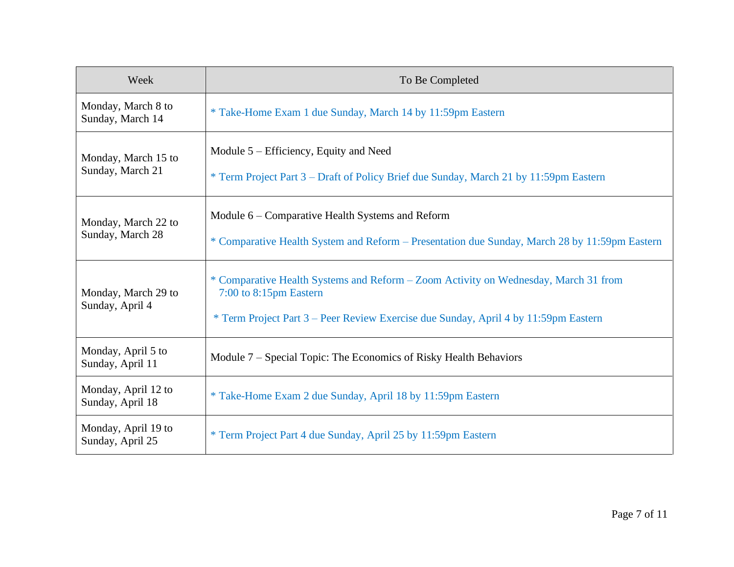| Week                                    | To Be Completed                                                                                                                                                                                      |
|-----------------------------------------|------------------------------------------------------------------------------------------------------------------------------------------------------------------------------------------------------|
| Monday, March 8 to<br>Sunday, March 14  | * Take-Home Exam 1 due Sunday, March 14 by 11:59pm Eastern                                                                                                                                           |
| Monday, March 15 to<br>Sunday, March 21 | Module 5 – Efficiency, Equity and Need<br>* Term Project Part 3 – Draft of Policy Brief due Sunday, March 21 by 11:59pm Eastern                                                                      |
| Monday, March 22 to<br>Sunday, March 28 | Module 6 – Comparative Health Systems and Reform<br>* Comparative Health System and Reform - Presentation due Sunday, March 28 by 11:59pm Eastern                                                    |
| Monday, March 29 to<br>Sunday, April 4  | * Comparative Health Systems and Reform - Zoom Activity on Wednesday, March 31 from<br>7:00 to 8:15pm Eastern<br>* Term Project Part 3 – Peer Review Exercise due Sunday, April 4 by 11:59pm Eastern |
| Monday, April 5 to<br>Sunday, April 11  | Module 7 – Special Topic: The Economics of Risky Health Behaviors                                                                                                                                    |
| Monday, April 12 to<br>Sunday, April 18 | * Take-Home Exam 2 due Sunday, April 18 by 11:59pm Eastern                                                                                                                                           |
| Monday, April 19 to<br>Sunday, April 25 | * Term Project Part 4 due Sunday, April 25 by 11:59pm Eastern                                                                                                                                        |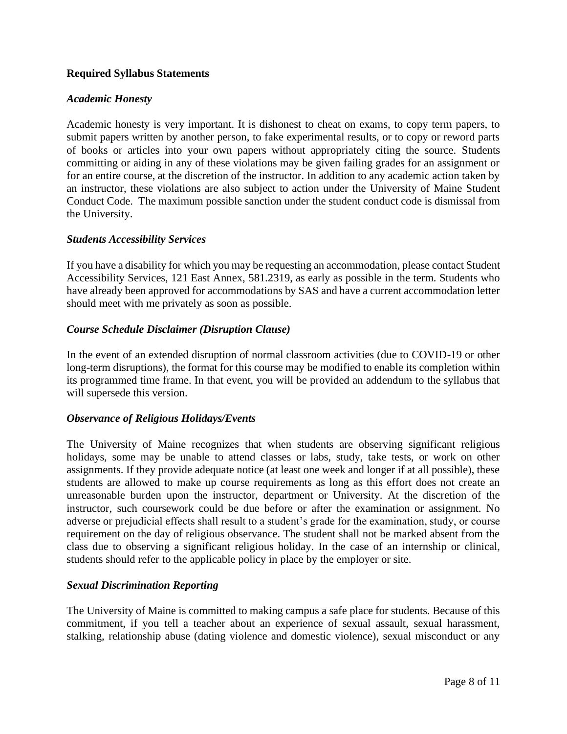## **Required Syllabus Statements**

#### *Academic Honesty*

Academic honesty is very important. It is dishonest to cheat on exams, to copy term papers, to submit papers written by another person, to fake experimental results, or to copy or reword parts of books or articles into your own papers without appropriately citing the source. Students committing or aiding in any of these violations may be given failing grades for an assignment or for an entire course, at the discretion of the instructor. In addition to any academic action taken by an instructor, these violations are also subject to action under the University of Maine Student Conduct Code. The maximum possible sanction under the student conduct code is dismissal from the University.

#### *Students Accessibility Services*

If you have a disability for which you may be requesting an accommodation, please contact Student Accessibility Services, 121 East Annex, 581.2319, as early as possible in the term. Students who have already been approved for accommodations by SAS and have a current accommodation letter should meet with me privately as soon as possible.

#### *Course Schedule Disclaimer (Disruption Clause)*

In the event of an extended disruption of normal classroom activities (due to COVID-19 or other long-term disruptions), the format for this course may be modified to enable its completion within its programmed time frame. In that event, you will be provided an addendum to the syllabus that will supersede this version.

### *Observance of Religious Holidays/Events*

The University of Maine recognizes that when students are observing significant religious holidays, some may be unable to attend classes or labs, study, take tests, or work on other assignments. If they provide adequate notice (at least one week and longer if at all possible), these students are allowed to make up course requirements as long as this effort does not create an unreasonable burden upon the instructor, department or University. At the discretion of the instructor, such coursework could be due before or after the examination or assignment. No adverse or prejudicial effects shall result to a student's grade for the examination, study, or course requirement on the day of religious observance. The student shall not be marked absent from the class due to observing a significant religious holiday. In the case of an internship or clinical, students should refer to the applicable policy in place by the employer or site.

### *Sexual Discrimination Reporting*

The University of Maine is committed to making campus a safe place for students. Because of this commitment, if you tell a teacher about an experience of sexual assault, sexual harassment, stalking, relationship abuse (dating violence and domestic violence), sexual misconduct or any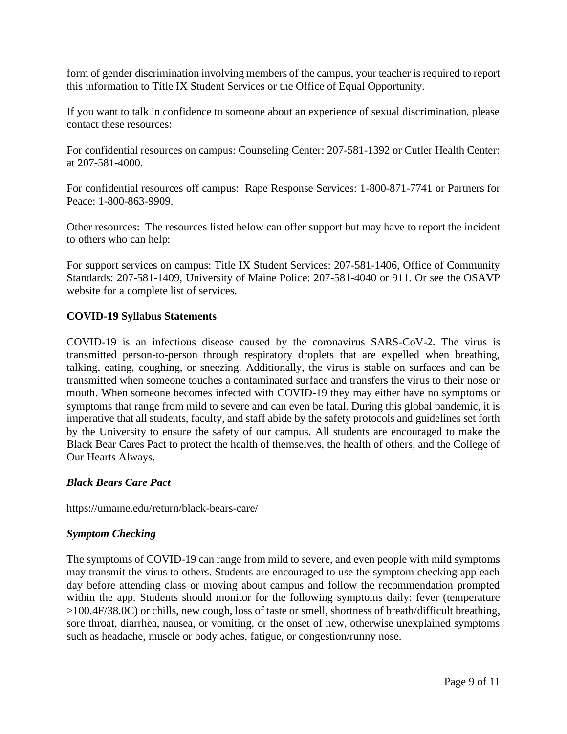form of gender discrimination involving members of the campus, your teacher is required to report this information to Title IX Student Services or the Office of Equal Opportunity.

If you want to talk in confidence to someone about an experience of sexual discrimination, please contact these resources:

For confidential resources on campus: Counseling Center: 207-581-1392 or Cutler Health Center: at 207-581-4000.

For confidential resources off campus: Rape Response Services: 1-800-871-7741 or Partners for Peace: 1-800-863-9909.

Other resources: The resources listed below can offer support but may have to report the incident to others who can help:

For support services on campus: Title IX Student Services: 207-581-1406, Office of Community Standards: 207-581-1409, University of Maine Police: 207-581-4040 or 911. Or see the OSAVP website for a complete list of services.

# **COVID-19 Syllabus Statements**

COVID-19 is an infectious disease caused by the coronavirus SARS-CoV-2. The virus is transmitted person-to-person through respiratory droplets that are expelled when breathing, talking, eating, coughing, or sneezing. Additionally, the virus is stable on surfaces and can be transmitted when someone touches a contaminated surface and transfers the virus to their nose or mouth. When someone becomes infected with COVID-19 they may either have no symptoms or symptoms that range from mild to severe and can even be fatal. During this global pandemic, it is imperative that all students, faculty, and staff abide by the safety protocols and guidelines set forth by the University to ensure the safety of our campus. All students are encouraged to make the Black Bear Cares Pact to protect the health of themselves, the health of others, and the College of Our Hearts Always.

### *Black Bears Care Pact*

https://umaine.edu/return/black-bears-care/

### *Symptom Checking*

The symptoms of COVID-19 can range from mild to severe, and even people with mild symptoms may transmit the virus to others. Students are encouraged to use the symptom checking app each day before attending class or moving about campus and follow the recommendation prompted within the app. Students should monitor for the following symptoms daily: fever (temperature >100.4F/38.0C) or chills, new cough, loss of taste or smell, shortness of breath/difficult breathing, sore throat, diarrhea, nausea, or vomiting, or the onset of new, otherwise unexplained symptoms such as headache, muscle or body aches, fatigue, or congestion/runny nose.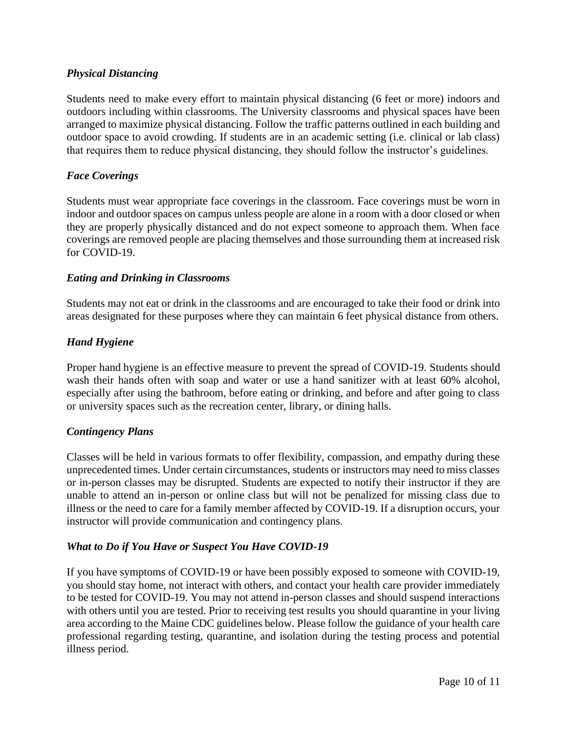# *Physical Distancing*

Students need to make every effort to maintain physical distancing (6 feet or more) indoors and outdoors including within classrooms. The University classrooms and physical spaces have been arranged to maximize physical distancing. Follow the traffic patterns outlined in each building and outdoor space to avoid crowding. If students are in an academic setting (i.e. clinical or lab class) that requires them to reduce physical distancing, they should follow the instructor's guidelines.

# *Face Coverings*

Students must wear appropriate face coverings in the classroom. Face coverings must be worn in indoor and outdoor spaces on campus unless people are alone in a room with a door closed or when they are properly physically distanced and do not expect someone to approach them. When face coverings are removed people are placing themselves and those surrounding them at increased risk for COVID-19.

### *Eating and Drinking in Classrooms*

Students may not eat or drink in the classrooms and are encouraged to take their food or drink into areas designated for these purposes where they can maintain 6 feet physical distance from others.

### *Hand Hygiene*

Proper hand hygiene is an effective measure to prevent the spread of COVID-19. Students should wash their hands often with soap and water or use a hand sanitizer with at least 60% alcohol, especially after using the bathroom, before eating or drinking, and before and after going to class or university spaces such as the recreation center, library, or dining halls.

### *Contingency Plans*

Classes will be held in various formats to offer flexibility, compassion, and empathy during these unprecedented times. Under certain circumstances, students or instructors may need to miss classes or in-person classes may be disrupted. Students are expected to notify their instructor if they are unable to attend an in-person or online class but will not be penalized for missing class due to illness or the need to care for a family member affected by COVID-19. If a disruption occurs, your instructor will provide communication and contingency plans.

### *What to Do if You Have or Suspect You Have COVID-19*

If you have symptoms of COVID-19 or have been possibly exposed to someone with COVID-19, you should stay home, not interact with others, and contact your health care provider immediately to be tested for COVID-19. You may not attend in-person classes and should suspend interactions with others until you are tested. Prior to receiving test results you should quarantine in your living area according to the Maine CDC guidelines below. Please follow the guidance of your health care professional regarding testing, quarantine, and isolation during the testing process and potential illness period.